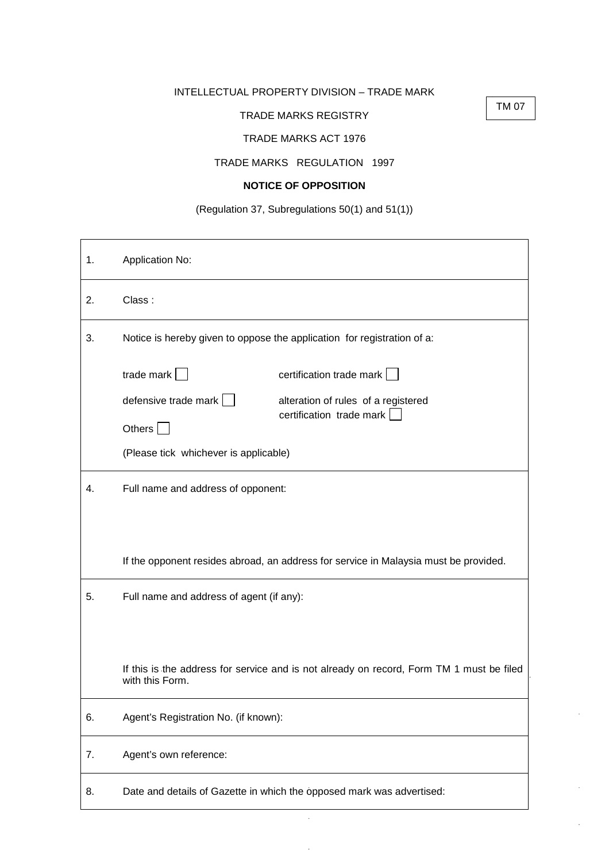## INTELLECTUAL PROPERTY DIVISION – TRADE MARK

## TRADE MARKS REGISTRY

TM 07

## TRADE MARKS ACT 1976

## TRADE MARKS REGULATION 1997

# **NOTICE OF OPPOSITION**

# (Regulation 37, Subregulations 50(1) and 51(1))

| 1. | Application No:                                                                                             |                                                                 |
|----|-------------------------------------------------------------------------------------------------------------|-----------------------------------------------------------------|
| 2. | Class:                                                                                                      |                                                                 |
| 3. | Notice is hereby given to oppose the application for registration of a:                                     |                                                                 |
|    | trade mark                                                                                                  | certification trade mark                                        |
|    | defensive trade mark $  \cdot  $<br>Others $ $                                                              | alteration of rules of a registered<br>certification trade mark |
|    | (Please tick whichever is applicable)                                                                       |                                                                 |
| 4. | Full name and address of opponent:                                                                          |                                                                 |
|    | If the opponent resides abroad, an address for service in Malaysia must be provided.                        |                                                                 |
| 5. | Full name and address of agent (if any):                                                                    |                                                                 |
|    |                                                                                                             |                                                                 |
|    | If this is the address for service and is not already on record, Form TM 1 must be filed<br>with this Form. |                                                                 |
| 6. | Agent's Registration No. (if known):                                                                        |                                                                 |
| 7. | Agent's own reference:                                                                                      |                                                                 |
| 8. | Date and details of Gazette in which the opposed mark was advertised:                                       |                                                                 |

 $\Delta$